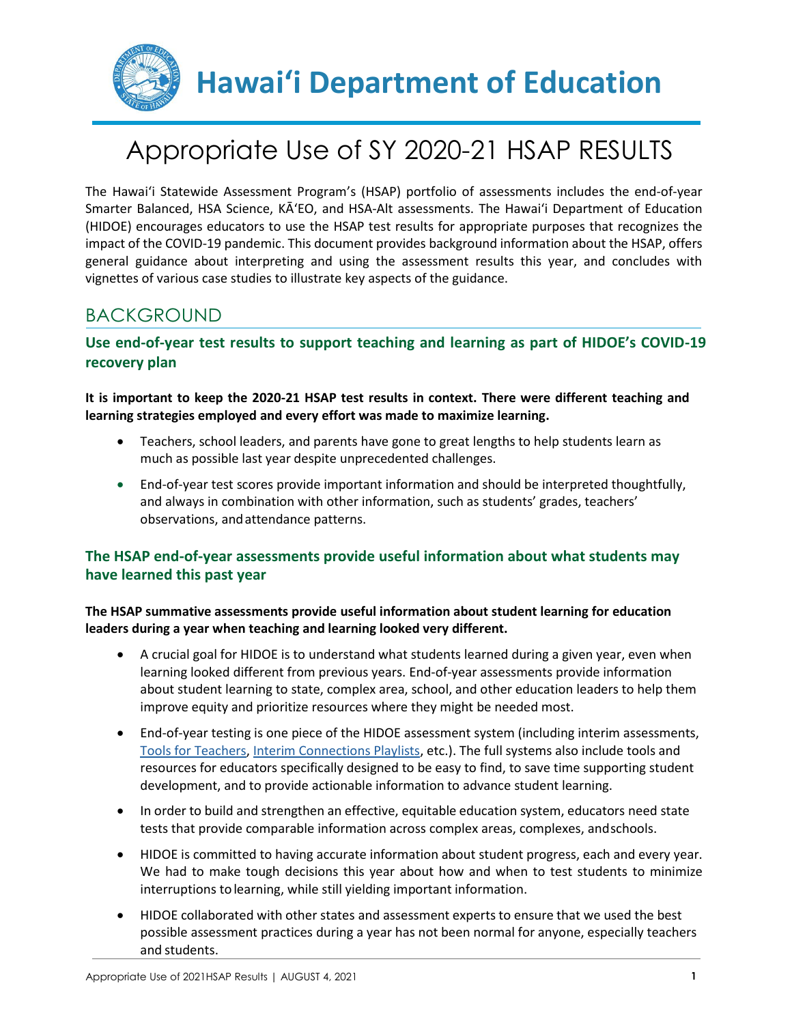

## Appropriate Use of SY 2020-21 HSAP RESULTS

The Hawai'i Statewide Assessment Program's (HSAP) portfolio of assessments includes the end-of-year Smarter Balanced, HSA Science, KA'EO, and HSA-Alt assessments. The Hawai'i Department of Education (HIDOE) encourages educators to use the HSAP test results for appropriate purposes that recognizes the impact of the COVID-19 pandemic. This document provides background information about the HSAP, offers general guidance about interpreting and using the assessment results this year, and concludes with vignettes of various case studies to illustrate key aspects of the guidance.

## BACKGROUND

### **Use end-of-year test results to support teaching and learning as part of HIDOE's COVID-19 recovery plan**

**It is important to keep the 2020-21 HSAP test results in context. There were different teaching and learning strategies employed and every effort was made to maximize learning.** 

- Teachers, school leaders, and parents have gone to great lengths to help students learn as much as possible last year despite unprecedented challenges.
- End-of-year test scores provide important information and should be interpreted thoughtfully, and always in combination with other information, such as students' grades, teachers' observations, andattendance patterns.

### **The HSAP end-of-year assessments provide useful information about what students may have learned this past year**

### **The HSAP summative assessments provide useful information about student learning for education leaders during a year when teaching and learning looked very different.**

- A crucial goal for HIDOE is to understand what students learned during a given year, even when learning looked different from previous years. End-of-year assessments provide information about student learning to state, complex area, school, and other education leaders to help them improve equity and prioritize resources where they might be needed most.
- End-of-year testing is one piece of the HIDOE assessment system (including interim assessments, [Tools for Teachers,](https://smartertoolsforteachers.org/) [Interim Connections Playlists,](https://smartertoolsforteachers.org/landing/playlist) etc.). The full systems also include tools and resources for educators specifically designed to be easy to find, to save time supporting student development, and to provide actionable information to advance student learning.
- In order to build and strengthen an effective, equitable education system, educators need state tests that provide comparable information across complex areas, complexes, andschools.
- HIDOE is committed to having accurate information about student progress, each and every year. We had to make tough decisions this year about how and when to test students to minimize interruptions tolearning, while still yielding important information.
- HIDOE collaborated with other states and assessment experts to ensure that we used the best possible assessment practices during a year has not been normal for anyone, especially teachers and students.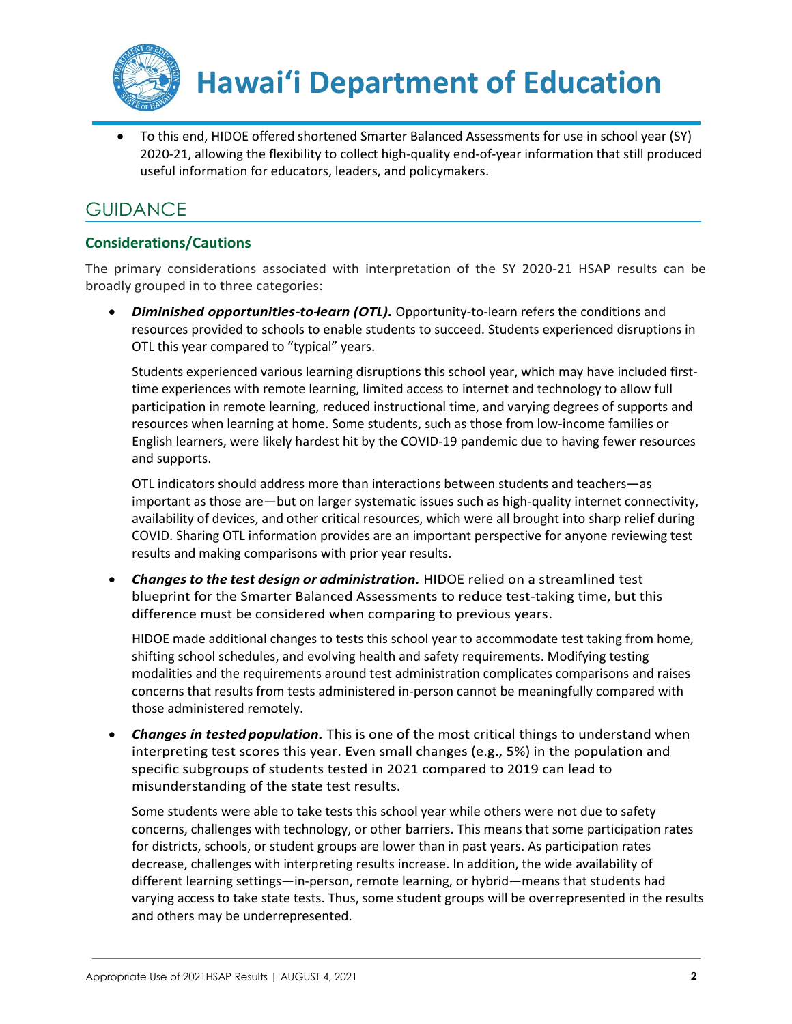

**Hawai'i Department of Education**

 To this end, HIDOE offered shortened Smarter Balanced Assessments for use in school year (SY) 2020-21, allowing the flexibility to collect high-quality end-of-year information that still produced useful information for educators, leaders, and policymakers.

### GUIDANCE

### **Considerations/Cautions**

The primary considerations associated with interpretation of the SY 2020-21 HSAP results can be broadly grouped in to three categories:

 *Diminished opportunities-to-learn (OTL).* Opportunity-to-learn refers the conditions and resources provided to schools to enable students to succeed. Students experienced disruptions in OTL this year compared to "typical" years.

Students experienced various learning disruptions this school year, which may have included firsttime experiences with remote learning, limited access to internet and technology to allow full participation in remote learning, reduced instructional time, and varying degrees of supports and resources when learning at home. Some students, such as those from low-income families or English learners, were likely hardest hit by the COVID-19 pandemic due to having fewer resources and supports.

OTL indicators should address more than interactions between students and teachers—as important as those are—but on larger systematic issues such as high-quality internet connectivity, availability of devices, and other critical resources, which were all brought into sharp relief during COVID. Sharing OTL information provides are an important perspective for anyone reviewing test results and making comparisons with prior year results.

 *Changesto the test design or administration.* HIDOE relied on a streamlined test blueprint for the Smarter Balanced Assessments to reduce test-taking time, but this difference must be considered when comparing to previous years.

HIDOE made additional changes to tests this school year to accommodate test taking from home, shifting school schedules, and evolving health and safety requirements. Modifying testing modalities and the requirements around test administration complicates comparisons and raises concerns that results from tests administered in-person cannot be meaningfully compared with those administered remotely.

 *Changes in testedpopulation.* This is one of the most critical things to understand when interpreting test scores this year. Even small changes (e.g., 5%) in the population and specific subgroups of students tested in 2021 compared to 2019 can lead to misunderstanding of the state test results.

Some students were able to take tests this school year while others were not due to safety concerns, challenges with technology, or other barriers. This means that some participation rates for districts, schools, or student groups are lower than in past years. As participation rates decrease, challenges with interpreting results increase. In addition, the wide availability of different learning settings—in-person, remote learning, or hybrid—means that students had varying access to take state tests. Thus, some student groups will be overrepresented in the results and others may be underrepresented.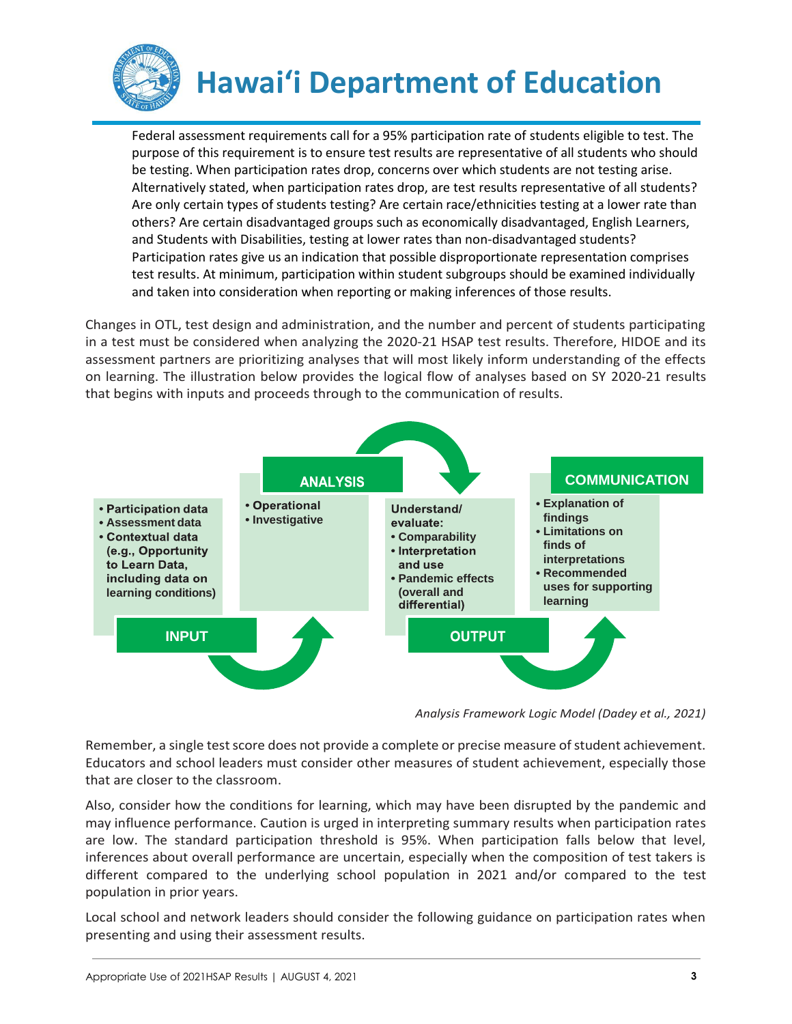

# **Hawai'i Department of Education**

Federal assessment requirements call for a 95% participation rate of students eligible to test. The purpose of this requirement is to ensure test results are representative of all students who should be testing. When participation rates drop, concerns over which students are not testing arise. Alternatively stated, when participation rates drop, are test results representative of all students? Are only certain types of students testing? Are certain race/ethnicities testing at a lower rate than others? Are certain disadvantaged groups such as economically disadvantaged, English Learners, and Students with Disabilities, testing at lower rates than non-disadvantaged students? Participation rates give us an indication that possible disproportionate representation comprises test results. At minimum, participation within student subgroups should be examined individually and taken into consideration when reporting or making inferences of those results.

Changes in OTL, test design and administration, and the number and percent of students participating in a test must be considered when analyzing the 2020-21 HSAP test results. Therefore, HIDOE and its assessment partners are prioritizing analyses that will most likely inform understanding of the effects on learning. The illustration below provides the logical flow of analyses based on SY 2020-21 results that begins with inputs and proceeds through to the communication of results.



*Analysis Framework Logic Model (Dadey et al., 2021)*

Remember, a single test score does not provide a complete or precise measure of student achievement. Educators and school leaders must consider other measures of student achievement, especially those that are closer to the classroom.

Also, consider how the conditions for learning, which may have been disrupted by the pandemic and may influence performance. Caution is urged in interpreting summary results when participation rates are low. The standard participation threshold is 95%. When participation falls below that level, inferences about overall performance are uncertain, especially when the composition of test takers is different compared to the underlying school population in 2021 and/or compared to the test population in prior years.

Local school and network leaders should consider the following guidance on participation rates when presenting and using their assessment results.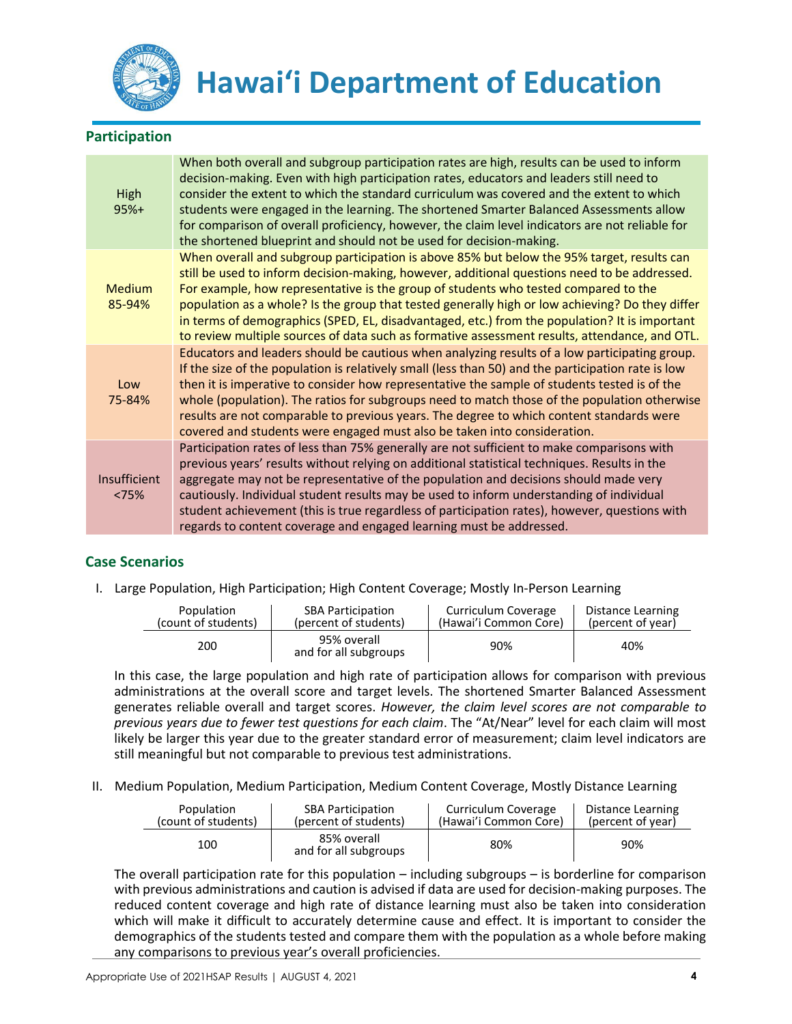

### **Participation**

| High<br>$95%+$          | When both overall and subgroup participation rates are high, results can be used to inform<br>decision-making. Even with high participation rates, educators and leaders still need to<br>consider the extent to which the standard curriculum was covered and the extent to which<br>students were engaged in the learning. The shortened Smarter Balanced Assessments allow<br>for comparison of overall proficiency, however, the claim level indicators are not reliable for<br>the shortened blueprint and should not be used for decision-making.                                |
|-------------------------|----------------------------------------------------------------------------------------------------------------------------------------------------------------------------------------------------------------------------------------------------------------------------------------------------------------------------------------------------------------------------------------------------------------------------------------------------------------------------------------------------------------------------------------------------------------------------------------|
| <b>Medium</b><br>85-94% | When overall and subgroup participation is above 85% but below the 95% target, results can<br>still be used to inform decision-making, however, additional questions need to be addressed.<br>For example, how representative is the group of students who tested compared to the<br>population as a whole? Is the group that tested generally high or low achieving? Do they differ<br>in terms of demographics (SPED, EL, disadvantaged, etc.) from the population? It is important<br>to review multiple sources of data such as formative assessment results, attendance, and OTL. |
| Low<br>75-84%           | Educators and leaders should be cautious when analyzing results of a low participating group.<br>If the size of the population is relatively small (less than 50) and the participation rate is low<br>then it is imperative to consider how representative the sample of students tested is of the<br>whole (population). The ratios for subgroups need to match those of the population otherwise<br>results are not comparable to previous years. The degree to which content standards were<br>covered and students were engaged must also be taken into consideration.            |
| Insufficient<br>< 75%   | Participation rates of less than 75% generally are not sufficient to make comparisons with<br>previous years' results without relying on additional statistical techniques. Results in the<br>aggregate may not be representative of the population and decisions should made very<br>cautiously. Individual student results may be used to inform understanding of individual<br>student achievement (this is true regardless of participation rates), however, questions with<br>regards to content coverage and engaged learning must be addressed.                                 |

### **Case Scenarios**

I. Large Population, High Participation; High Content Coverage; Mostly In-Person Learning

| Population          | <b>SBA Participation</b>             | Curriculum Coverage   | Distance Learning |
|---------------------|--------------------------------------|-----------------------|-------------------|
| (count of students) | (percent of students)                | (Hawai'i Common Core) | (percent of year) |
| 200                 | 95% overall<br>and for all subgroups | 90%                   | 40%               |

In this case, the large population and high rate of participation allows for comparison with previous administrations at the overall score and target levels. The shortened Smarter Balanced Assessment generates reliable overall and target scores. *However, the claim level scores are not comparable to previous years due to fewer test questions for each claim*. The "At/Near" level for each claim will most likely be larger this year due to the greater standard error of measurement; claim level indicators are still meaningful but not comparable to previous test administrations.

II. Medium Population, Medium Participation, Medium Content Coverage, Mostly Distance Learning

| Population          | <b>SBA Participation</b>             | Curriculum Coverage   | Distance Learning |
|---------------------|--------------------------------------|-----------------------|-------------------|
| (count of students) | (percent of students)                | (Hawai'i Common Core) | (percent of year) |
| 100                 | 85% overall<br>and for all subgroups | 80%                   | 90%               |

The overall participation rate for this population – including subgroups – is borderline for comparison with previous administrations and caution is advised if data are used for decision-making purposes. The reduced content coverage and high rate of distance learning must also be taken into consideration which will make it difficult to accurately determine cause and effect. It is important to consider the demographics of the students tested and compare them with the population as a whole before making any comparisons to previous year's overall proficiencies.